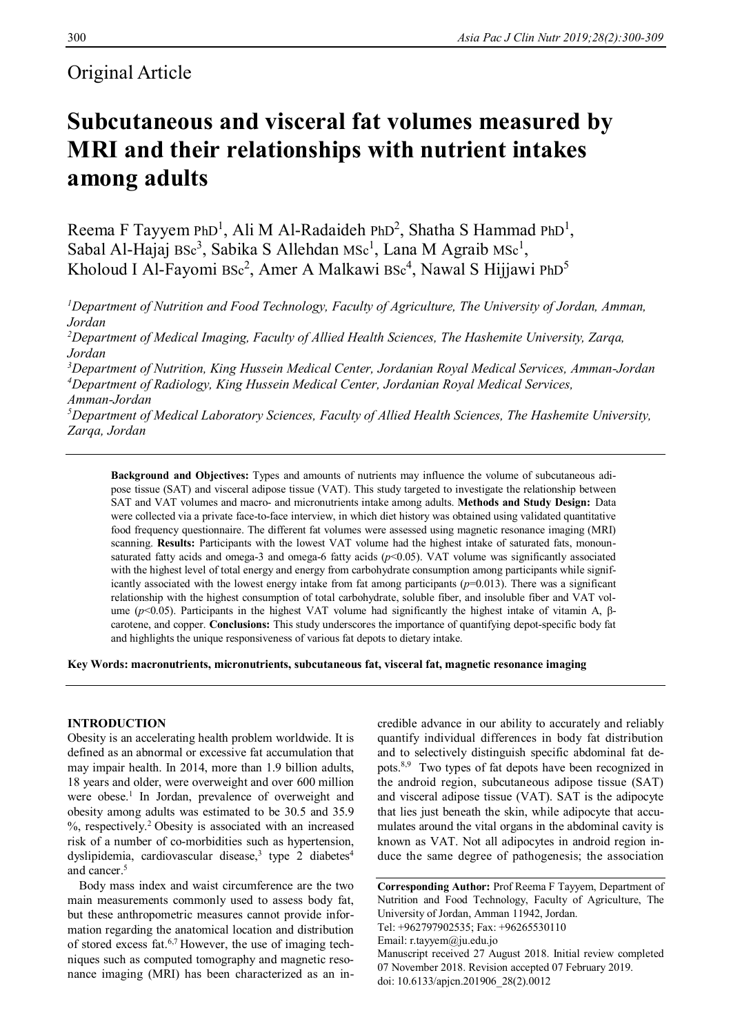## Original Article

# **Subcutaneous and visceral fat volumes measured by MRI and their relationships with nutrient intakes among adults**

Reema F Tayyem PhD<sup>1</sup>, Ali M Al-Radaideh PhD<sup>2</sup>, Shatha S Hammad PhD<sup>1</sup>, Sabal Al-Hajaj Bsc<sup>3</sup>, Sabika S Allehdan Msc<sup>1</sup>, Lana M Agraib Msc<sup>1</sup>, Kholoud I Al-Fayomi Bsc<sup>2</sup>, Amer A Malkawi Bsc<sup>4</sup>, Nawal S Hijjawi PhD<sup>5</sup>

*<sup>1</sup>Department of Nutrition and Food Technology, Faculty of Agriculture, The University of Jordan, Amman, Jordan* 

*<sup>2</sup>Department of Medical Imaging, Faculty of Allied Health Sciences, The Hashemite University, Zarqa, Jordan* 

*<sup>3</sup>Department of Nutrition, King Hussein Medical Center, Jordanian Royal Medical Services, Amman-Jordan <sup>4</sup>Department of Radiology, King Hussein Medical Center, Jordanian Royal Medical Services, Amman-Jordan*

*<sup>5</sup>Department of Medical Laboratory Sciences, Faculty of Allied Health Sciences, The Hashemite University, Zarqa, Jordan*

**Background and Objectives:** Types and amounts of nutrients may influence the volume of subcutaneous adipose tissue (SAT) and visceral adipose tissue (VAT). This study targeted to investigate the relationship between SAT and VAT volumes and macro- and micronutrients intake among adults. **Methods and Study Design:** Data were collected via a private face-to-face interview, in which diet history was obtained using validated quantitative food frequency questionnaire. The different fat volumes were assessed using magnetic resonance imaging (MRI) scanning. **Results:** Participants with the lowest VAT volume had the highest intake of saturated fats, monounsaturated fatty acids and omega-3 and omega-6 fatty acids ( $p$ <0.05). VAT volume was significantly associated with the highest level of total energy and energy from carbohydrate consumption among participants while significantly associated with the lowest energy intake from fat among participants (*p*=0.013). There was a significant relationship with the highest consumption of total carbohydrate, soluble fiber, and insoluble fiber and VAT volume ( $p$ <0.05). Participants in the highest VAT volume had significantly the highest intake of vitamin A, βcarotene, and copper. **Conclusions:** This study underscores the importance of quantifying depot-specific body fat and highlights the unique responsiveness of various fat depots to dietary intake.

**Key Words: macronutrients, micronutrients, subcutaneous fat, visceral fat, magnetic resonance imaging**

## **INTRODUCTION**

Obesity is an accelerating health problem worldwide. It is defined as an abnormal or excessive fat accumulation that may impair health. In 2014, more than 1.9 billion adults, 18 years and older, were overweight and over 600 million were obese.<sup>1</sup> In Jordan, prevalence of overweight and obesity among adults was estimated to be 30.5 and 35.9 %, respectively.<sup>2</sup>Obesity is associated with an increased risk of a number of co-morbidities such as hypertension, dyslipidemia, cardiovascular disease,<sup>3</sup> type 2 diabetes<sup>4</sup> and cancer.<sup>5</sup>

Body mass index and waist circumference are the two main measurements commonly used to assess body fat, but these anthropometric measures cannot provide information regarding the anatomical location and distribution of stored excess fat.6,7 However, the use of imaging techniques such as computed tomography and magnetic resonance imaging (MRI) has been characterized as an incredible advance in our ability to accurately and reliably quantify individual differences in body fat distribution and to selectively distinguish specific abdominal fat depots.<sup>8,9</sup> Two types of fat depots have been recognized in the android region, subcutaneous adipose tissue (SAT) and visceral adipose tissue (VAT). SAT is the adipocyte that lies just beneath the skin, while adipocyte that accumulates around the vital organs in the abdominal cavity is known as VAT. Not all adipocytes in android region induce the same degree of pathogenesis; the association

**Corresponding Author:** Prof Reema F Tayyem, Department of Nutrition and Food Technology, Faculty of Agriculture, The University of Jordan, Amman 11942, Jordan. Tel: +962797902535; Fax: +96265530110 Email: r.tayyem@ju.edu.jo Manuscript received 27 August 2018. Initial review completed 07 November 2018. Revision accepted 07 February 2019. doi: 10.6133/apjcn.201906\_28(2).0012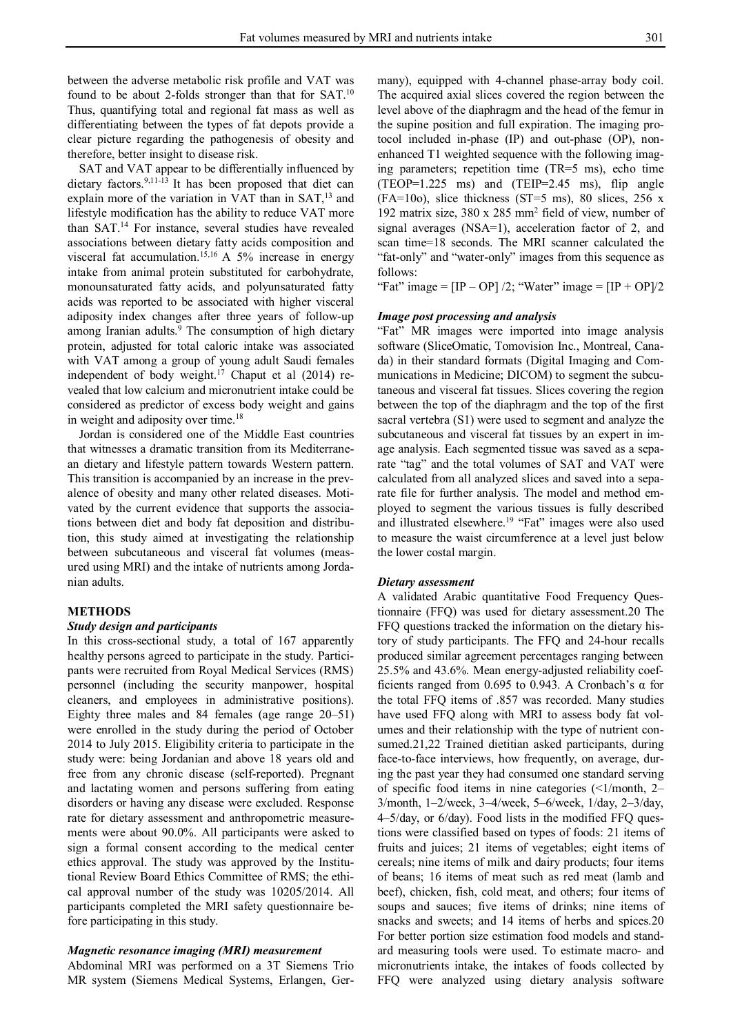between the adverse metabolic risk profile and VAT was found to be about 2-folds stronger than that for SAT.<sup>10</sup> Thus, quantifying total and regional fat mass as well as differentiating between the types of fat depots provide a clear picture regarding the pathogenesis of obesity and therefore, better insight to disease risk.

SAT and VAT appear to be differentially influenced by dietary factors.9,11-13 It has been proposed that diet can explain more of the variation in VAT than in SAT,<sup>13</sup> and lifestyle modification has the ability to reduce VAT more than SAT.<sup>14</sup> For instance, several studies have revealed associations between dietary fatty acids composition and visceral fat accumulation.15,16 A 5% increase in energy intake from animal protein substituted for carbohydrate, monounsaturated fatty acids, and polyunsaturated fatty acids was reported to be associated with higher visceral adiposity index changes after three years of follow-up among Iranian adults.<sup>9</sup> The consumption of high dietary protein, adjusted for total caloric intake was associated with VAT among a group of young adult Saudi females independent of body weight. <sup>17</sup> Chaput et al (2014) revealed that low calcium and micronutrient intake could be considered as predictor of excess body weight and gains in weight and adiposity over time.<sup>18</sup>

Jordan is considered one of the Middle East countries that witnesses a dramatic transition from its Mediterranean dietary and lifestyle pattern towards Western pattern. This transition is accompanied by an increase in the prevalence of obesity and many other related diseases. Motivated by the current evidence that supports the associations between diet and body fat deposition and distribution, this study aimed at investigating the relationship between subcutaneous and visceral fat volumes (measured using MRI) and the intake of nutrients among Jordanian adults.

## **METHODS**

## *Study design and participants*

In this cross-sectional study, a total of 167 apparently healthy persons agreed to participate in the study. Participants were recruited from Royal Medical Services (RMS) personnel (including the security manpower, hospital cleaners, and employees in administrative positions). Eighty three males and 84 females (age range 20–51) were enrolled in the study during the period of October 2014 to July 2015. Eligibility criteria to participate in the study were: being Jordanian and above 18 years old and free from any chronic disease (self-reported). Pregnant and lactating women and persons suffering from eating disorders or having any disease were excluded. Response rate for dietary assessment and anthropometric measurements were about 90.0%. All participants were asked to sign a formal consent according to the medical center ethics approval. The study was approved by the Institutional Review Board Ethics Committee of RMS; the ethical approval number of the study was 10205/2014. All participants completed the MRI safety questionnaire before participating in this study.

## *Magnetic resonance imaging (MRI) measurement*

Abdominal MRI was performed on a 3T Siemens Trio MR system (Siemens Medical Systems, Erlangen, Germany), equipped with 4-channel phase-array body coil. The acquired axial slices covered the region between the level above of the diaphragm and the head of the femur in the supine position and full expiration. The imaging protocol included in-phase (IP) and out-phase (OP), nonenhanced T1 weighted sequence with the following imaging parameters; repetition time (TR=5 ms), echo time (TEOP=1.225 ms) and (TEIP=2.45 ms), flip angle  $(FA=10o)$ , slice thickness  $(ST=5$  ms), 80 slices, 256 x 192 matrix size, 380 x 285 mm<sup>2</sup> field of view, number of signal averages (NSA=1), acceleration factor of 2, and scan time=18 seconds. The MRI scanner calculated the "fat-only" and "water-only" images from this sequence as follows:

"Fat" image =  $[IP - OP] / 2$ ; "Water" image =  $[IP + OP] / 2$ 

## *Image post processing and analysis*

"Fat" MR images were imported into image analysis software (SliceOmatic, Tomovision Inc., Montreal, Canada) in their standard formats (Digital Imaging and Communications in Medicine; DICOM) to segment the subcutaneous and visceral fat tissues. Slices covering the region between the top of the diaphragm and the top of the first sacral vertebra (S1) were used to segment and analyze the subcutaneous and visceral fat tissues by an expert in image analysis. Each segmented tissue was saved as a separate "tag" and the total volumes of SAT and VAT were calculated from all analyzed slices and saved into a separate file for further analysis. The model and method employed to segment the various tissues is fully described and illustrated elsewhere.<sup>19</sup> "Fat" images were also used to measure the waist circumference at a level just below the lower costal margin.

#### *Dietary assessment*

A validated Arabic quantitative Food Frequency Questionnaire (FFQ) was used for dietary assessment.20 The FFQ questions tracked the information on the dietary history of study participants. The FFQ and 24-hour recalls produced similar agreement percentages ranging between 25.5% and 43.6%. Mean energy-adjusted reliability coefficients ranged from 0.695 to 0.943. A Cronbach's α for the total FFQ items of .857 was recorded. Many studies have used FFQ along with MRI to assess body fat volumes and their relationship with the type of nutrient consumed.21,22 Trained dietitian asked participants, during face-to-face interviews, how frequently, on average, during the past year they had consumed one standard serving of specific food items in nine categories (<1/month, 2– 3/month, 1–2/week, 3–4/week, 5–6/week, 1/day, 2–3/day, 4–5/day, or 6/day). Food lists in the modified FFQ questions were classified based on types of foods: 21 items of fruits and juices; 21 items of vegetables; eight items of cereals; nine items of milk and dairy products; four items of beans; 16 items of meat such as red meat (lamb and beef), chicken, fish, cold meat, and others; four items of soups and sauces; five items of drinks; nine items of snacks and sweets; and 14 items of herbs and spices.20 For better portion size estimation food models and standard measuring tools were used. To estimate macro- and micronutrients intake, the intakes of foods collected by FFQ were analyzed using dietary analysis software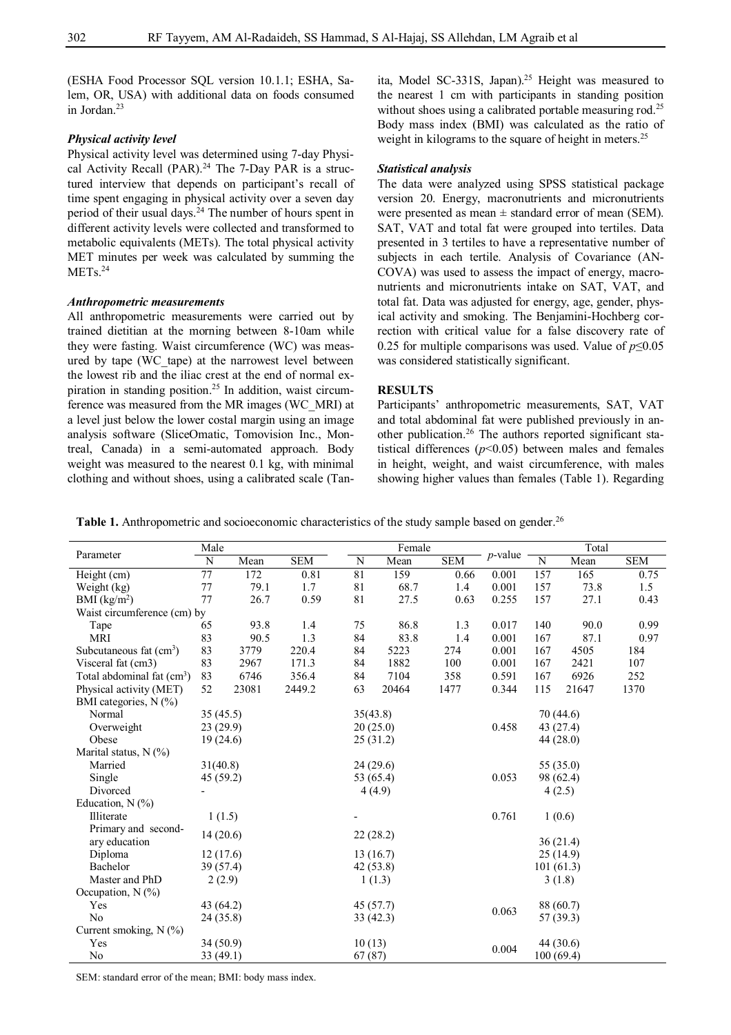(ESHA Food Processor SQL version 10.1.1; ESHA, Salem, OR, USA) with additional data on foods consumed in Jordan.<sup>23</sup>

## *Physical activity level*

Physical activity level was determined using 7-day Physical Activity Recall (PAR).<sup>24</sup> The 7-Day PAR is a structured interview that depends on participant's recall of time spent engaging in physical activity over a seven day period of their usual days.<sup>24</sup> The number of hours spent in different activity levels were collected and transformed to metabolic equivalents (METs). The total physical activity MET minutes per week was calculated by summing the MET<sub>s.24</sub>

## *Anthropometric measurements*

All anthropometric measurements were carried out by trained dietitian at the morning between 8-10am while they were fasting. Waist circumference (WC) was measured by tape (WC\_tape) at the narrowest level between the lowest rib and the iliac crest at the end of normal expiration in standing position.<sup>25</sup> In addition, waist circumference was measured from the MR images (WC\_MRI) at a level just below the lower costal margin using an image analysis software (SliceOmatic, Tomovision Inc., Montreal, Canada) in a semi-automated approach. Body weight was measured to the nearest 0.1 kg, with minimal clothing and without shoes, using a calibrated scale (Tanita, Model SC-331S, Japan).<sup>25</sup> Height was measured to the nearest 1 cm with participants in standing position without shoes using a calibrated portable measuring rod.<sup>25</sup> Body mass index (BMI) was calculated as the ratio of weight in kilograms to the square of height in meters.<sup>25</sup>

## *Statistical analysis*

The data were analyzed using SPSS statistical package version 20. Energy, macronutrients and micronutrients were presented as mean  $\pm$  standard error of mean (SEM). SAT, VAT and total fat were grouped into tertiles. Data presented in 3 tertiles to have a representative number of subjects in each tertile. Analysis of Covariance (AN-COVA) was used to assess the impact of energy, macronutrients and micronutrients intake on SAT, VAT, and total fat. Data was adjusted for energy, age, gender, physical activity and smoking. The Benjamini-Hochberg correction with critical value for a false discovery rate of 0.25 for multiple comparisons was used. Value of *p*≤0.05 was considered statistically significant.

## **RESULTS**

Participants' anthropometric measurements, SAT, VAT and total abdominal fat were published previously in another publication.<sup>26</sup> The authors reported significant statistical differences  $(p<0.05)$  between males and females in height, weight, and waist circumference, with males showing higher values than females (Table 1). Regarding

Table 1. Anthropometric and socioeconomic characteristics of the study sample based on gender.<sup>26</sup>

|                             | Male           |       |            |          | Female    |            | $p$ -value | Total     |                  |            |  |
|-----------------------------|----------------|-------|------------|----------|-----------|------------|------------|-----------|------------------|------------|--|
| Parameter                   | $\overline{N}$ | Mean  | <b>SEM</b> | N        | Mean      | <b>SEM</b> |            | ${\bf N}$ | Mean             | <b>SEM</b> |  |
| Height (cm)                 | 77             | 172   | 0.81       | 81       | 159       | 0.66       | 0.001      | 157       | $\overline{165}$ | 0.75       |  |
| Weight (kg)                 | 77             | 79.1  | 1.7        | 81       | 68.7      | 1.4        | 0.001      | 157       | 73.8             | 1.5        |  |
| BMI (kg/m <sup>2</sup> )    | 77             | 26.7  | 0.59       | 81       | 27.5      | 0.63       | 0.255      | 157       | 27.1             | 0.43       |  |
| Waist circumference (cm) by |                |       |            |          |           |            |            |           |                  |            |  |
| Tape                        | 65             | 93.8  | 1.4        | 75       | 86.8      | 1.3        | 0.017      | 140       | 90.0             | 0.99       |  |
| <b>MRI</b>                  | 83             | 90.5  | 1.3        | 84       | 83.8      | 1.4        | 0.001      | 167       | 87.1             | 0.97       |  |
| Subcutaneous fat $(cm3)$    | 83             | 3779  | 220.4      | 84       | 5223      | 274        | 0.001      | 167       | 4505             | 184        |  |
| Visceral fat (cm3)          | 83             | 2967  | 171.3      | 84       | 1882      | 100        | 0.001      | 167       | 2421             | 107        |  |
| Total abdominal fat $(cm3)$ | 83             | 6746  | 356.4      | 84       | 7104      | 358        | 0.591      | 167       | 6926             | 252        |  |
| Physical activity (MET)     | 52             | 23081 | 2449.2     | 63       | 20464     | 1477       | 0.344      | 115       | 21647            | 1370       |  |
| BMI categories, $N$ (%)     |                |       |            |          |           |            |            |           |                  |            |  |
| Normal                      | 35(45.5)       |       |            | 35(43.8) |           |            |            |           | 70 (44.6)        |            |  |
| Overweight                  | 23(29.9)       |       |            |          | 20(25.0)  |            | 0.458      | 43 (27.4) |                  |            |  |
| Obese                       | 19(24.6)       |       |            |          | 25(31.2)  |            |            | 44 (28.0) |                  |            |  |
| Marital status, N (%)       |                |       |            |          |           |            |            |           |                  |            |  |
| Married                     | 31(40.8)       |       |            |          | 24(29.6)  |            |            | 55 (35.0) |                  |            |  |
| Single                      | 45 (59.2)      |       |            |          | 53 (65.4) |            | 0.053      |           | 98 (62.4)        |            |  |
| Divorced                    |                |       |            |          | 4(4.9)    |            |            | 4(2.5)    |                  |            |  |
| Education, $N$ (%)          |                |       |            |          |           |            |            |           |                  |            |  |
| Illiterate                  | 1(1.5)         |       |            |          |           |            | 0.761      |           | 1(0.6)           |            |  |
| Primary and second-         | 14(20.6)       |       |            |          | 22(28.2)  |            |            |           |                  |            |  |
| ary education               |                |       |            |          |           |            |            |           | 36(21.4)         |            |  |
| Diploma                     | 12(17.6)       |       |            |          | 13(16.7)  |            |            |           | 25(14.9)         |            |  |
| Bachelor                    | 39(57.4)       |       |            |          | 42(53.8)  |            |            | 101(61.3) |                  |            |  |
| Master and PhD              | 2(2.9)         |       |            |          | 1(1.3)    |            |            |           | 3(1.8)           |            |  |
| Occupation, N (%)           |                |       |            |          |           |            |            |           |                  |            |  |
| Yes                         | 43 (64.2)      |       |            |          | 45(57.7)  |            | 0.063      |           | 88 (60.7)        |            |  |
| N <sub>o</sub>              | 24 (35.8)      |       |            |          | 33 (42.3) |            |            |           | 57 (39.3)        |            |  |
| Current smoking, N (%)      |                |       |            |          |           |            |            |           |                  |            |  |
| Yes                         | 34(50.9)       |       |            | 10(13)   |           |            | 0.004      |           | 44 (30.6)        |            |  |
| No                          | 33(49.1)       |       |            | 67(87)   |           |            |            | 100(69.4) |                  |            |  |

SEM: standard error of the mean; BMI: body mass index.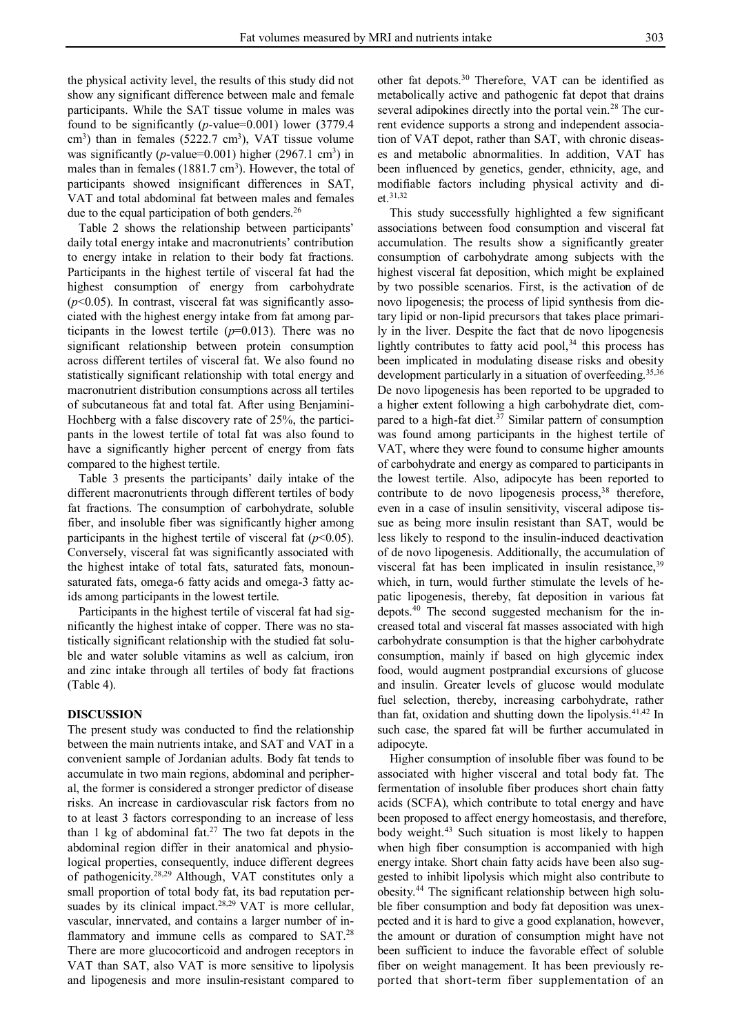the physical activity level, the results of this study did not show any significant difference between male and female participants. While the SAT tissue volume in males was found to be significantly (*p*-value=0.001) lower (3779.4  $\text{cm}^3$ ) than in females (5222.7 cm<sup>3</sup>), VAT tissue volume was significantly ( $p$ -value=0.001) higher (2967.1 cm<sup>3</sup>) in males than in females (1881.7 cm<sup>3</sup>). However, the total of participants showed insignificant differences in SAT, VAT and total abdominal fat between males and females due to the equal participation of both genders.<sup>26</sup>

Table 2 shows the relationship between participants' daily total energy intake and macronutrients' contribution to energy intake in relation to their body fat fractions. Participants in the highest tertile of visceral fat had the highest consumption of energy from carbohydrate  $(p<0.05)$ . In contrast, visceral fat was significantly associated with the highest energy intake from fat among participants in the lowest tertile  $(p=0.013)$ . There was no significant relationship between protein consumption across different tertiles of visceral fat. We also found no statistically significant relationship with total energy and macronutrient distribution consumptions across all tertiles of subcutaneous fat and total fat. After using Benjamini-Hochberg with a false discovery rate of 25%, the participants in the lowest tertile of total fat was also found to have a significantly higher percent of energy from fats compared to the highest tertile.

Table 3 presents the participants' daily intake of the different macronutrients through different tertiles of body fat fractions. The consumption of carbohydrate, soluble fiber, and insoluble fiber was significantly higher among participants in the highest tertile of visceral fat  $(p<0.05)$ . Conversely, visceral fat was significantly associated with the highest intake of total fats, saturated fats, monounsaturated fats, omega-6 fatty acids and omega-3 fatty acids among participants in the lowest tertile.

Participants in the highest tertile of visceral fat had significantly the highest intake of copper. There was no statistically significant relationship with the studied fat soluble and water soluble vitamins as well as calcium, iron and zinc intake through all tertiles of body fat fractions (Table 4).

## **DISCUSSION**

The present study was conducted to find the relationship between the main nutrients intake, and SAT and VAT in a convenient sample of Jordanian adults. Body fat tends to accumulate in two main regions, abdominal and peripheral, the former is considered a stronger predictor of disease risks. An increase in cardiovascular risk factors from no to at least 3 factors corresponding to an increase of less than 1 kg of abdominal fat.<sup>27</sup> The two fat depots in the abdominal region differ in their anatomical and physiological properties, consequently, induce different degrees of pathogenicity.28,29 Although, VAT constitutes only a small proportion of total body fat, its bad reputation persuades by its clinical impact.<sup>28,29</sup> VAT is more cellular, vascular, innervated, and contains a larger number of inflammatory and immune cells as compared to SAT.<sup>28</sup> There are more glucocorticoid and androgen receptors in VAT than SAT, also VAT is more sensitive to lipolysis and lipogenesis and more insulin-resistant compared to

other fat depots.<sup>30</sup> Therefore, VAT can be identified as metabolically active and pathogenic fat depot that drains several adipokines directly into the portal vein.<sup>28</sup> The current evidence supports a strong and independent association of VAT depot, rather than SAT, with chronic diseases and metabolic abnormalities. In addition, VAT has been influenced by genetics, gender, ethnicity, age, and modifiable factors including physical activity and diet.31,32

This study successfully highlighted a few significant associations between food consumption and visceral fat accumulation. The results show a significantly greater consumption of carbohydrate among subjects with the highest visceral fat deposition, which might be explained by two possible scenarios. First, is the activation of de novo lipogenesis; the process of lipid synthesis from dietary lipid or non-lipid precursors that takes place primarily in the liver. Despite the fact that de novo lipogenesis lightly contributes to fatty acid pool, $34$  this process has been implicated in modulating disease risks and obesity development particularly in a situation of overfeeding.<sup>35,36</sup> De novo lipogenesis has been reported to be upgraded to a higher extent following a high carbohydrate diet, compared to a high-fat diet. $3^7$  Similar pattern of consumption was found among participants in the highest tertile of VAT, where they were found to consume higher amounts of carbohydrate and energy as compared to participants in the lowest tertile. Also, adipocyte has been reported to contribute to de novo lipogenesis process,<sup>38</sup> therefore, even in a case of insulin sensitivity, visceral adipose tissue as being more insulin resistant than SAT, would be less likely to respond to the insulin-induced deactivation of de novo lipogenesis. Additionally, the accumulation of visceral fat has been implicated in insulin resistance,<sup>39</sup> which, in turn, would further stimulate the levels of hepatic lipogenesis, thereby, fat deposition in various fat depots.<sup>40</sup> The second suggested mechanism for the increased total and visceral fat masses associated with high carbohydrate consumption is that the higher carbohydrate consumption, mainly if based on high glycemic index food, would augment postprandial excursions of glucose and insulin. Greater levels of glucose would modulate fuel selection, thereby, increasing carbohydrate, rather than fat, oxidation and shutting down the lipolysis.41,42 In such case, the spared fat will be further accumulated in adipocyte.

Higher consumption of insoluble fiber was found to be associated with higher visceral and total body fat. The fermentation of insoluble fiber produces short chain fatty acids (SCFA), which contribute to total energy and have been proposed to affect energy homeostasis, and therefore, body weight.<sup>43</sup> Such situation is most likely to happen when high fiber consumption is accompanied with high energy intake. Short chain fatty acids have been also suggested to inhibit lipolysis which might also contribute to obesity.<sup>44</sup> The significant relationship between high soluble fiber consumption and body fat deposition was unexpected and it is hard to give a good explanation, however, the amount or duration of consumption might have not been sufficient to induce the favorable effect of soluble fiber on weight management. It has been previously reported that short-term fiber supplementation of an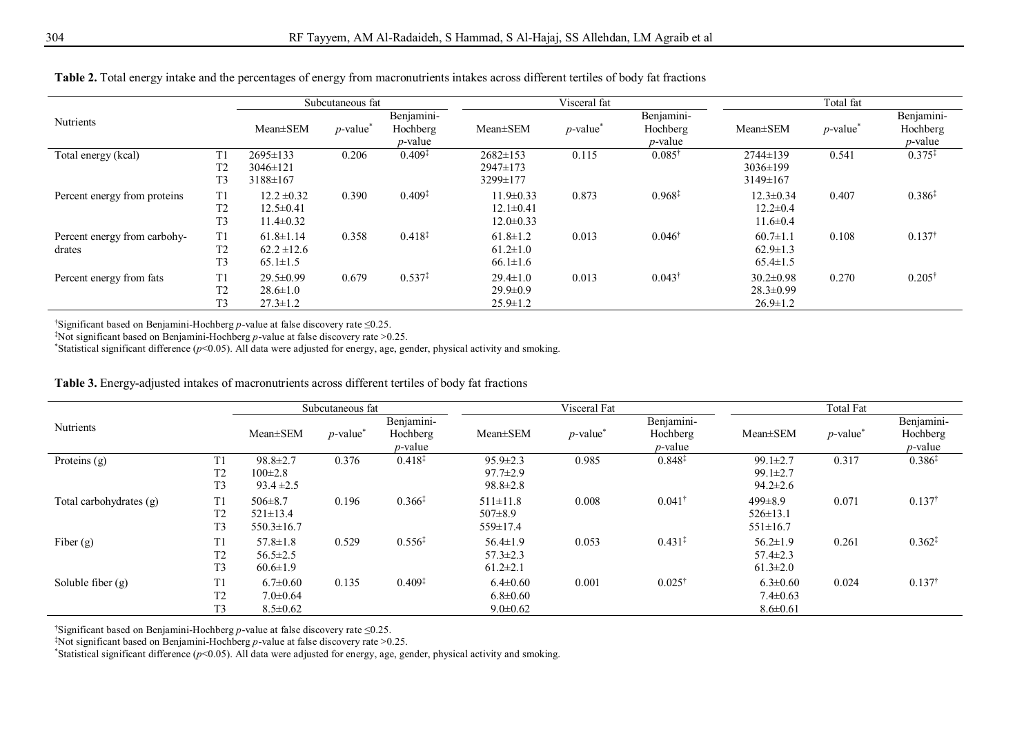|                              |                |                 | Subcutaneous fat        |                    |                 | Visceral fat            |                    |                 | Total fat               |                   |
|------------------------------|----------------|-----------------|-------------------------|--------------------|-----------------|-------------------------|--------------------|-----------------|-------------------------|-------------------|
| Nutrients                    |                |                 |                         | Benjamini-         |                 |                         | Benjamini-         |                 |                         | Benjamini-        |
|                              |                | $Mean \pm SEM$  | $p$ -value <sup>*</sup> | Hochberg           | $Mean \pm SEM$  | $p$ -value <sup>*</sup> | Hochberg           | $Mean \pm SEM$  | $p$ -value <sup>*</sup> | Hochberg          |
|                              |                |                 |                         | <i>p</i> -value    |                 |                         | <i>p</i> -value    |                 |                         | $p$ -value        |
| Total energy (kcal)          | T1             | 2695±133        | 0.206                   | $0.409^{\ddagger}$ | $2682 \pm 153$  | 0.115                   | $0.085^{\dagger}$  | $2744 \pm 139$  | 0.541                   | $0.375*$          |
|                              | T2             | $3046 \pm 121$  |                         |                    | $2947 \pm 173$  |                         |                    | $3036 \pm 199$  |                         |                   |
|                              | T <sub>3</sub> | 3188±167        |                         |                    | 3299±177        |                         |                    | $3149 \pm 167$  |                         |                   |
| Percent energy from proteins | T1             | $12.2 \pm 0.32$ | 0.390                   | $0.409^{\ddagger}$ | $11.9 \pm 0.33$ | 0.873                   | $0.968^{\ddagger}$ | $12.3 \pm 0.34$ | 0.407                   | $0.386*$          |
|                              | T <sub>2</sub> | $12.5 \pm 0.41$ |                         |                    | $12.1 \pm 0.41$ |                         |                    | $12.2 \pm 0.4$  |                         |                   |
|                              | T <sub>3</sub> | $11.4 \pm 0.32$ |                         |                    | $12.0 \pm 0.33$ |                         |                    | $11.6 \pm 0.4$  |                         |                   |
| Percent energy from carbohy- | T1             | $61.8 \pm 1.14$ | 0.358                   | $0.418^{*}$        | $61.8 \pm 1.2$  | 0.013                   | $0.046^{\dagger}$  | $60.7 \pm 1.1$  | 0.108                   | $0.137^{\dagger}$ |
| drates                       | T <sub>2</sub> | $62.2 \pm 12.6$ |                         |                    | $61.2 \pm 1.0$  |                         |                    | $62.9 \pm 1.3$  |                         |                   |
|                              | T <sub>3</sub> | $65.1 \pm 1.5$  |                         |                    | $66.1 \pm 1.6$  |                         |                    | $65.4 \pm 1.5$  |                         |                   |
| Percent energy from fats     | T1             | $29.5 \pm 0.99$ | 0.679                   | $0.537^{*}$        | $29.4 \pm 1.0$  | 0.013                   | $0.043^{\dagger}$  | $30.2 \pm 0.98$ | 0.270                   | $0.205^{\dagger}$ |
|                              | T2             | $28.6 \pm 1.0$  |                         |                    | $29.9 \pm 0.9$  |                         |                    | $28.3 \pm 0.99$ |                         |                   |
|                              | T <sub>3</sub> | $27.3 \pm 1.2$  |                         |                    | $25.9 \pm 1.2$  |                         |                    | $26.9 \pm 1.2$  |                         |                   |

**Table 2.** Total energy intake and the percentages of energy from macronutrients intakes across different tertiles of body fat fractions

†Significant based on Benjamini-Hochberg *p*-value at false discovery rate ≤0.25.

‡Not significant based on Benjamini-Hochberg *p*-value at false discovery rate >0.25.

\*Statistical significant difference ( $p$ <0.05). All data were adjusted for energy, age, gender, physical activity and smoking.

**Table 3.** Energy-adjusted intakes of macronutrients across different tertiles of body fat fractions

|                         |                                                    |                                                     | Subcutaneous fat |                                      |                                                    | Visceral Fat            |                                      | Total Fat                                          |                         |                                      |  |
|-------------------------|----------------------------------------------------|-----------------------------------------------------|------------------|--------------------------------------|----------------------------------------------------|-------------------------|--------------------------------------|----------------------------------------------------|-------------------------|--------------------------------------|--|
| Nutrients               |                                                    | $Mean \pm SEM$                                      | $p$ -value       | Benjamini-<br>Hochberg<br>$p$ -value | $Mean \pm SEM$                                     | $p$ -value <sup>*</sup> | Benjamini-<br>Hochberg<br>$p$ -value | $Mean \pm SEM$                                     | $p$ -value <sup>*</sup> | Benjamini-<br>Hochberg<br>$p$ -value |  |
| Proteins $(g)$          | T <sub>1</sub><br>T <sub>2</sub><br>T <sub>3</sub> | $98.8 \pm 2.7$<br>$100 \pm 2.8$<br>$93.4 \pm 2.5$   | 0.376            | $0.418^{\ddagger}$                   | $95.9 \pm 2.3$<br>$97.7 \pm 2.9$<br>$98.8 \pm 2.8$ | 0.985                   | $0.848^{\ddagger}$                   | $99.1 \pm 2.7$<br>$99.1 \pm 2.7$<br>$94.2 \pm 2.6$ | 0.317                   | $0.386*$                             |  |
| Total carbohydrates (g) | T1<br>T <sub>2</sub><br>T <sub>3</sub>             | $506 \pm 8.7$<br>$521 \pm 13.4$<br>$550.3 \pm 16.7$ | 0.196            | $0.366^{\ddagger}$                   | $511 \pm 11.8$<br>$507\pm8.9$<br>$559 \pm 17.4$    | 0.008                   | $0.041$ <sup>+</sup>                 | $499 \pm 8.9$<br>$526 \pm 13.1$<br>$551 \pm 16.7$  | 0.071                   | $0.137^{\dagger}$                    |  |
| Fiber $(g)$             | T <sub>1</sub><br>T <sub>2</sub><br>T <sub>3</sub> | $57.8 \pm 1.8$<br>$56.5 \pm 2.5$<br>$60.6 \pm 1.9$  | 0.529            | $0.556*$                             | $56.4 \pm 1.9$<br>$57.3 \pm 2.3$<br>$61.2 \pm 2.1$ | 0.053                   | $0.431*$                             | $56.2 \pm 1.9$<br>$57.4 \pm 2.3$<br>$61.3 \pm 2.0$ | 0.261                   | $0.362*$                             |  |
| Soluble fiber $(g)$     | T1<br>T <sub>2</sub><br>T3                         | $6.7 \pm 0.60$<br>$7.0 \pm 0.64$<br>$8.5 \pm 0.62$  | 0.135            | $0.409^{\ddagger}$                   | $6.4 \pm 0.60$<br>$6.8 \pm 0.60$<br>$9.0 \pm 0.62$ | 0.001                   | $0.025^{\dagger}$                    | $6.3 \pm 0.60$<br>$7.4 \pm 0.63$<br>$8.6 \pm 0.61$ | 0.024                   | $0.137^{\dagger}$                    |  |

†Significant based on Benjamini-Hochberg *p*-value at false discovery rate ≤0.25.

‡Not significant based on Benjamini-Hochberg *p*-value at false discovery rate >0.25.

\*Statistical significant difference (*p*<0.05). All data were adjusted for energy, age, gender, physical activity and smoking.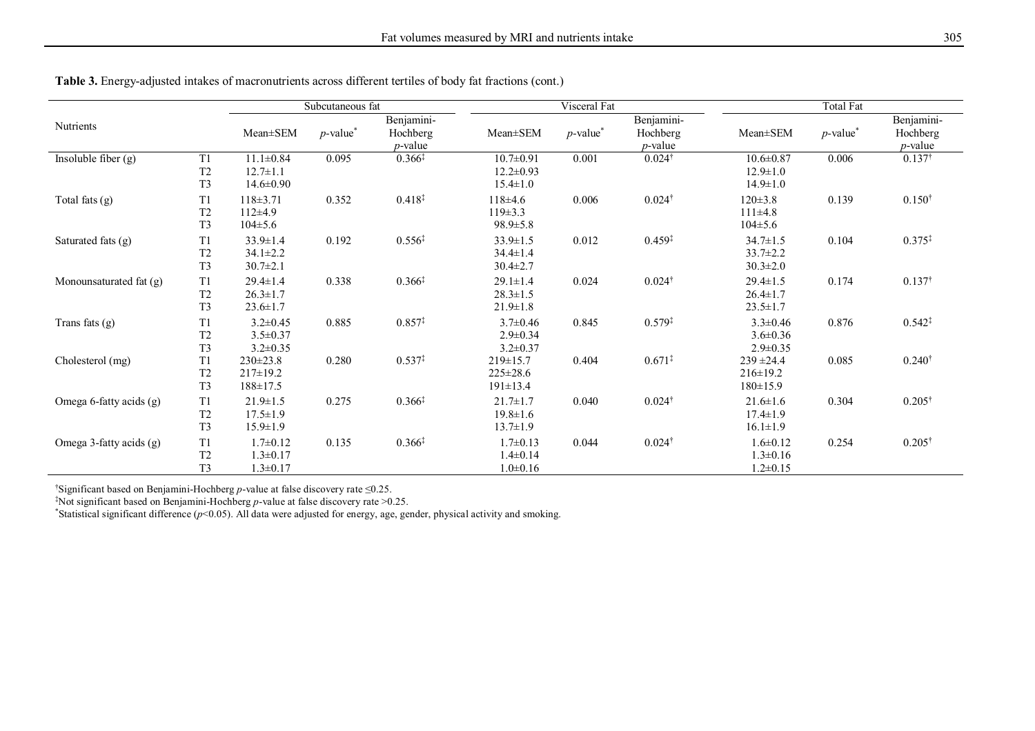|                         |                                                    |                                                      | Subcutaneous fat        |                                      |                                                      | Visceral Fat            |                                      |                                                     | Total Fat               |                                      |
|-------------------------|----------------------------------------------------|------------------------------------------------------|-------------------------|--------------------------------------|------------------------------------------------------|-------------------------|--------------------------------------|-----------------------------------------------------|-------------------------|--------------------------------------|
| Nutrients               |                                                    | Mean±SEM                                             | $p$ -value <sup>*</sup> | Benjamini-<br>Hochberg<br>$p$ -value | Mean±SEM                                             | $p$ -value <sup>*</sup> | Benjamini-<br>Hochberg<br>$p$ -value | Mean±SEM                                            | $p$ -value <sup>*</sup> | Benjamini-<br>Hochberg<br>$p$ -value |
| Insoluble fiber $(g)$   | T1<br>T <sub>2</sub><br>T <sub>3</sub>             | $11.1 \pm 0.84$<br>$12.7 \pm 1.1$<br>$14.6 \pm 0.90$ | 0.095                   | $0.366^{*}$                          | $10.7 \pm 0.91$<br>$12.2 \pm 0.93$<br>$15.4 \pm 1.0$ | 0.001                   | $0.024^{\dagger}$                    | $10.6 \pm 0.87$<br>$12.9 \pm 1.0$<br>$14.9 \pm 1.0$ | 0.006                   | $0.137^{\dagger}$                    |
| Total fats $(g)$        | T1<br>T <sub>2</sub><br>T <sub>3</sub>             | $118 \pm 3.71$<br>$112\pm4.9$<br>$104 \pm 5.6$       | 0.352                   | $0.418^{\ddagger}$                   | $118+4.6$<br>$119 \pm 3.3$<br>$98.9 \pm 5.8$         | 0.006                   | $0.024^{\dagger}$                    | $120 \pm 3.8$<br>111±4.8<br>$104 \pm 5.6$           | 0.139                   | $0.150^{\dagger}$                    |
| Saturated fats $(g)$    | T <sub>1</sub><br>T <sub>2</sub><br>T <sub>3</sub> | $33.9 \pm 1.4$<br>$34.1 \pm 2.2$<br>$30.7 \pm 2.1$   | 0.192                   | $0.556^{\ddagger}$                   | $33.9 \pm 1.5$<br>$34.4 \pm 1.4$<br>$30.4 \pm 2.7$   | 0.012                   | $0.459^{\ddagger}$                   | $34.7 \pm 1.5$<br>$33.7 \pm 2.2$<br>$30.3 \pm 2.0$  | 0.104                   | $0.375^{*}$                          |
| Monounsaturated fat (g) | T <sub>1</sub><br>T <sub>2</sub><br>T <sub>3</sub> | $29.4 \pm 1.4$<br>$26.3 \pm 1.7$<br>$23.6 \pm 1.7$   | 0.338                   | $0.366^{\ddagger}$                   | $29.1 \pm 1.4$<br>$28.3 \pm 1.5$<br>$21.9 \pm 1.8$   | 0.024                   | $0.024^{\dagger}$                    | $29.4 \pm 1.5$<br>$26.4 \pm 1.7$<br>$23.5 \pm 1.7$  | 0.174                   | $0.137^{\dagger}$                    |
| Trans fats $(g)$        | T <sub>1</sub><br>T <sub>2</sub><br>T <sub>3</sub> | $3.2 \pm 0.45$<br>$3.5 \pm 0.37$<br>$3.2 \pm 0.35$   | 0.885                   | $0.857^{\ddagger}$                   | $3.7 \pm 0.46$<br>$2.9 \pm 0.34$<br>$3.2 \pm 0.37$   | 0.845                   | $0.579^{*}$                          | $3.3 \pm 0.46$<br>$3.6 \pm 0.36$<br>$2.9 \pm 0.35$  | 0.876                   | $0.542^{\ddagger}$                   |
| Cholesterol (mg)        | T1<br>T <sub>2</sub><br>T <sub>3</sub>             | $230 \pm 23.8$<br>$217 \pm 19.2$<br>$188 \pm 17.5$   | 0.280                   | $0.537*$                             | $219 \pm 15.7$<br>$225 \pm 28.6$<br>$191 \pm 13.4$   | 0.404                   | $0.671*$                             | $239 \pm 24.4$<br>$216 \pm 19.2$<br>$180 \pm 15.9$  | 0.085                   | $0.240^{\dagger}$                    |
| Omega 6-fatty acids (g) | T1<br>T <sub>2</sub><br>T <sub>3</sub>             | $21.9 \pm 1.5$<br>$17.5 \pm 1.9$<br>$15.9 \pm 1.9$   | 0.275                   | $0.366^{\ddagger}$                   | $21.7 \pm 1.7$<br>$19.8 \pm 1.6$<br>$13.7 \pm 1.9$   | 0.040                   | $0.024^{\dagger}$                    | $21.6 \pm 1.6$<br>$17.4 \pm 1.9$<br>$16.1 \pm 1.9$  | 0.304                   | $0.205^{\dagger}$                    |
| Omega 3-fatty acids (g) | T <sub>1</sub><br>T <sub>2</sub><br>T <sub>3</sub> | $1.7 \pm 0.12$<br>$1.3 \pm 0.17$<br>$1.3 \pm 0.17$   | 0.135                   | $0.366^{\ddagger}$                   | $1.7 \pm 0.13$<br>$1.4 \pm 0.14$<br>$1.0 \pm 0.16$   | 0.044                   | $0.024^{\dagger}$                    | $1.6 \pm 0.12$<br>$1.3 \pm 0.16$<br>$1.2 \pm 0.15$  | 0.254                   | $0.205^{\dagger}$                    |

**Table 3.** Energy-adjusted intakes of macronutrients across different tertiles of body fat fractions (cont.)

†Significant based on Benjamini-Hochberg *p*-value at false discovery rate ≤0.25.

‡Not significant based on Benjamini-Hochberg *p*-value at false discovery rate >0.25.

\*Statistical significant difference (*p*<0.05). All data were adjusted for energy, age, gender, physical activity and smoking.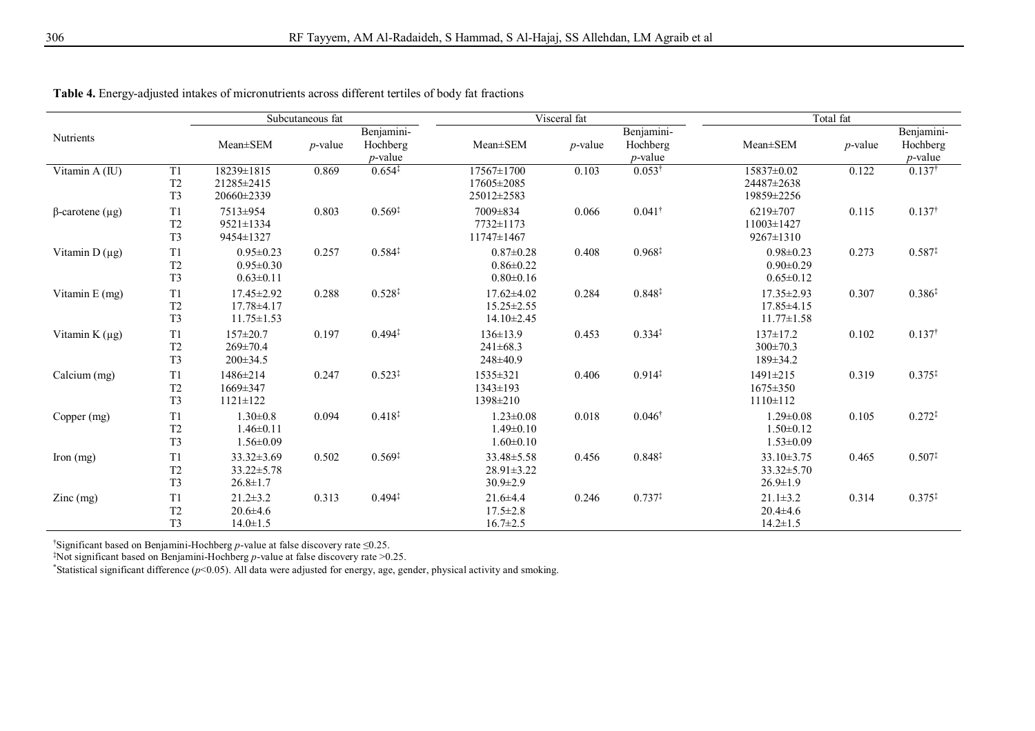|                        |                                                    |                                                          | Subcutaneous fat |                                      |                                                          | Visceral fat |                                      |                                                          | Total fat  |                                      |
|------------------------|----------------------------------------------------|----------------------------------------------------------|------------------|--------------------------------------|----------------------------------------------------------|--------------|--------------------------------------|----------------------------------------------------------|------------|--------------------------------------|
| Nutrients              |                                                    | Mean±SEM                                                 | $p$ -value       | Benjamini-<br>Hochberg<br>$p$ -value | $Mean \pm SEM$                                           | $p$ -value   | Benjamini-<br>Hochberg<br>$p$ -value | $Mean \pm SEM$                                           | $p$ -value | Benjamini-<br>Hochberg<br>$p$ -value |
| Vitamin A (IU)         | T <sub>1</sub><br>T <sub>2</sub><br>T <sub>3</sub> | 18239±1815<br>21285 ± 2415<br>20660±2339                 | 0.869            | $0.654*$                             | 17567±1700<br>17605±2085<br>25012±2583                   | 0.103        | $0.053^{\dagger}$                    | 15837±0.02<br>24487±2638<br>19859±2256                   | 0.122      | $0.137^{\dagger}$                    |
| $\beta$ -carotene (µg) | T <sub>1</sub><br>T <sub>2</sub><br>T <sub>3</sub> | 7513±954<br>9521±1334<br>9454±1327                       | 0.803            | $0.569*$                             | 7009±834<br>7732±1173<br>$11747 \pm 1467$                | 0.066        | $0.041^{\dagger}$                    | 6219±707<br>$11003 \pm 1427$<br>9267±1310                | 0.115      | $0.137^{\dagger}$                    |
| Vitamin $D(\mu g)$     | T <sub>1</sub><br>T <sub>2</sub><br>T <sub>3</sub> | $0.95 \pm 0.23$<br>$0.95 \pm 0.30$<br>$0.63 \pm 0.11$    | 0.257            | $0.584*$                             | $0.87 \pm 0.28$<br>$0.86 \pm 0.22$<br>$0.80 \pm 0.16$    | 0.408        | $0.968^{\ddagger}$                   | $0.98 \pm 0.23$<br>$0.90 \pm 0.29$<br>$0.65 \pm 0.12$    | 0.273      | $0.587*$                             |
| Vitamin $E$ (mg)       | T1<br>T <sub>2</sub><br>T <sub>3</sub>             | $17.45 \pm 2.92$<br>$17.78 \pm 4.17$<br>$11.75 \pm 1.53$ | 0.288            | $0.528^{\ddagger}$                   | $17.62 \pm 4.02$<br>$15.25 \pm 2.55$<br>$14.10 \pm 2.45$ | 0.284        | $0.848*$                             | $17.35 \pm 2.93$<br>$17.85 \pm 4.15$<br>$11.77 \pm 1.58$ | 0.307      | $0.386*$                             |
| Vitamin $K(\mu g)$     | T1<br>T <sub>2</sub><br>T <sub>3</sub>             | $157 \pm 20.7$<br>$269 \pm 70.4$<br>$200\pm 34.5$        | 0.197            | $0.494*$                             | $136 \pm 13.9$<br>$241\pm68.3$<br>$248\pm 40.9$          | 0.453        | $0.334*$                             | $137 \pm 17.2$<br>$300 \pm 70.3$<br>$189 \pm 34.2$       | 0.102      | $0.137^{\dagger}$                    |
| Calcium (mg)           | T1<br>T <sub>2</sub><br>T <sub>3</sub>             | 1486±214<br>$1669 \pm 347$<br>$1121 \pm 122$             | 0.247            | $0.523*$                             | 1535±321<br>$1343 \pm 193$<br>1398±210                   | 0.406        | $0.914*$                             | 1491±215<br>$1675 \pm 350$<br>$1110 \pm 112$             | 0.319      | $0.375*$                             |
| Copper (mg)            | T1<br>T <sub>2</sub><br>T <sub>3</sub>             | $1.30 \pm 0.8$<br>$1.46 \pm 0.11$<br>$1.56 \pm 0.09$     | 0.094            | $0.418^{\ddagger}$                   | $1.23 \pm 0.08$<br>$1.49 \pm 0.10$<br>$1.60 \pm 0.10$    | 0.018        | $0.046^{\dagger}$                    | $1.29 \pm 0.08$<br>$1.50 \pm 0.12$<br>$1.53 \pm 0.09$    | 0.105      | $0.272*$                             |
| Iron $(mg)$            | T <sub>1</sub><br>T <sub>2</sub><br>T <sub>3</sub> | $33.32 \pm 3.69$<br>$33.22 \pm 5.78$<br>$26.8 \pm 1.7$   | 0.502            | $0.569*$                             | $33.48 \pm 5.58$<br>$28.91 \pm 3.22$<br>$30.9 \pm 2.9$   | 0.456        | $0.848*$                             | $33.10 \pm 3.75$<br>$33.32 \pm 5.70$<br>$26.9 \pm 1.9$   | 0.465      | $0.507*$                             |
| $\text{Zinc}$ (mg)     | T1<br>T <sub>2</sub><br>T <sub>3</sub>             | $21.2 \pm 3.2$<br>$20.6 \pm 4.6$<br>$14.0 \pm 1.5$       | 0.313            | $0.494*$                             | $21.6 \pm 4.4$<br>$17.5 \pm 2.8$<br>$16.7 \pm 2.5$       | 0.246        | $0.737^{\ddagger}$                   | $21.1 \pm 3.2$<br>$20.4 \pm 4.6$<br>$14.2 \pm 1.5$       | 0.314      | $0.375^{\ddagger}$                   |

**Table 4.** Energy-adjusted intakes of micronutrients across different tertiles of body fat fractions

†Significant based on Benjamini-Hochberg *p*-value at false discovery rate ≤0.25.

‡Not significant based on Benjamini-Hochberg *p*-value at false discovery rate >0.25.

\*Statistical significant difference ( $p$ <0.05). All data were adjusted for energy, age, gender, physical activity and smoking.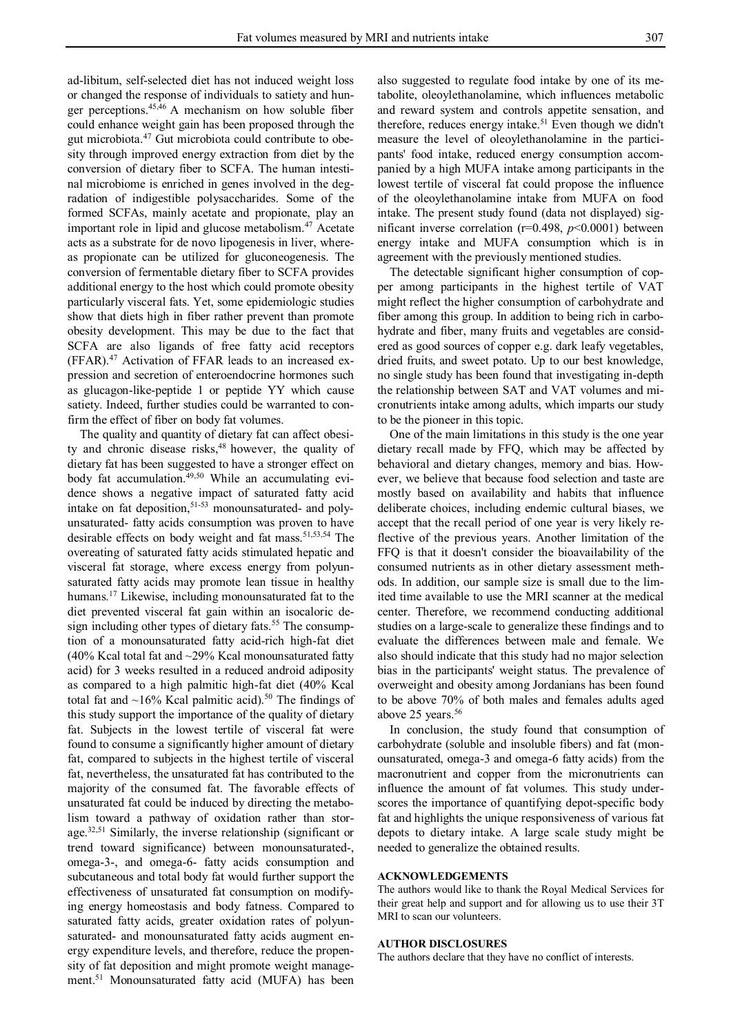ad-libitum, self-selected diet has not induced weight loss or changed the response of individuals to satiety and hunger perceptions.45,46 A mechanism on how soluble fiber could enhance weight gain has been proposed through the gut microbiota.<sup>47</sup> Gut microbiota could contribute to obesity through improved energy extraction from diet by the conversion of dietary fiber to SCFA. The human intestinal microbiome is enriched in genes involved in the degradation of indigestible polysaccharides. Some of the formed SCFAs, mainly acetate and propionate, play an important role in lipid and glucose metabolism.<sup>47</sup> Acetate acts as a substrate for de novo lipogenesis in liver, whereas propionate can be utilized for gluconeogenesis. The conversion of fermentable dietary fiber to SCFA provides additional energy to the host which could promote obesity particularly visceral fats. Yet, some epidemiologic studies show that diets high in fiber rather prevent than promote obesity development. This may be due to the fact that SCFA are also ligands of free fatty acid receptors (FFAR).<sup>47</sup> Activation of FFAR leads to an increased expression and secretion of enteroendocrine hormones such as glucagon-like-peptide 1 or peptide YY which cause satiety. Indeed, further studies could be warranted to confirm the effect of fiber on body fat volumes.

The quality and quantity of dietary fat can affect obesity and chronic disease risks,<sup>48</sup> however, the quality of dietary fat has been suggested to have a stronger effect on body fat accumulation. $49,50$  While an accumulating evidence shows a negative impact of saturated fatty acid intake on fat deposition, $51-53$  monounsaturated- and polyunsaturated- fatty acids consumption was proven to have desirable effects on body weight and fat mass.<sup>51,53,54</sup> The overeating of saturated fatty acids stimulated hepatic and visceral fat storage, where excess energy from polyunsaturated fatty acids may promote lean tissue in healthy humans.<sup>17</sup> Likewise, including monounsaturated fat to the diet prevented visceral fat gain within an isocaloric design including other types of dietary fats.<sup>55</sup> The consumption of a monounsaturated fatty acid-rich high-fat diet (40% Kcal total fat and ~29% Kcal monounsaturated fatty acid) for 3 weeks resulted in a reduced android adiposity as compared to a high palmitic high-fat diet (40% Kcal total fat and  $\sim$ 16% Kcal palmitic acid).<sup>50</sup> The findings of this study support the importance of the quality of dietary fat. Subjects in the lowest tertile of visceral fat were found to consume a significantly higher amount of dietary fat, compared to subjects in the highest tertile of visceral fat, nevertheless, the unsaturated fat has contributed to the majority of the consumed fat. The favorable effects of unsaturated fat could be induced by directing the metabolism toward a pathway of oxidation rather than storage.<sup>32,51</sup> Similarly, the inverse relationship (significant or trend toward significance) between monounsaturated-, omega-3-, and omega-6- fatty acids consumption and subcutaneous and total body fat would further support the effectiveness of unsaturated fat consumption on modifying energy homeostasis and body fatness. Compared to saturated fatty acids, greater oxidation rates of polyunsaturated- and monounsaturated fatty acids augment energy expenditure levels, and therefore, reduce the propensity of fat deposition and might promote weight management.<sup>51</sup> Monounsaturated fatty acid (MUFA) has been

also suggested to regulate food intake by one of its metabolite, oleoylethanolamine, which influences metabolic and reward system and controls appetite sensation, and therefore, reduces energy intake.<sup>51</sup> Even though we didn't measure the level of oleoylethanolamine in the participants' food intake, reduced energy consumption accompanied by a high MUFA intake among participants in the lowest tertile of visceral fat could propose the influence of the oleoylethanolamine intake from MUFA on food intake. The present study found (data not displayed) significant inverse correlation (r=0.498, *p*<0.0001) between energy intake and MUFA consumption which is in agreement with the previously mentioned studies.

The detectable significant higher consumption of copper among participants in the highest tertile of VAT might reflect the higher consumption of carbohydrate and fiber among this group. In addition to being rich in carbohydrate and fiber, many fruits and vegetables are considered as good sources of copper e.g. dark leafy vegetables, dried fruits, and sweet potato. Up to our best knowledge, no single study has been found that investigating in-depth the relationship between SAT and VAT volumes and micronutrients intake among adults, which imparts our study to be the pioneer in this topic.

One of the main limitations in this study is the one year dietary recall made by FFQ, which may be affected by behavioral and dietary changes, memory and bias. However, we believe that because food selection and taste are mostly based on availability and habits that influence deliberate choices, including endemic cultural biases, we accept that the recall period of one year is very likely reflective of the previous years. Another limitation of the FFQ is that it doesn't consider the bioavailability of the consumed nutrients as in other dietary assessment methods. In addition, our sample size is small due to the limited time available to use the MRI scanner at the medical center. Therefore, we recommend conducting additional studies on a large-scale to generalize these findings and to evaluate the differences between male and female. We also should indicate that this study had no major selection bias in the participants' weight status. The prevalence of overweight and obesity among Jordanians has been found to be above 70% of both males and females adults aged above  $25$  years.<sup>56</sup>

In conclusion, the study found that consumption of carbohydrate (soluble and insoluble fibers) and fat (monounsaturated, omega-3 and omega-6 fatty acids) from the macronutrient and copper from the micronutrients can influence the amount of fat volumes. This study underscores the importance of quantifying depot-specific body fat and highlights the unique responsiveness of various fat depots to dietary intake. A large scale study might be needed to generalize the obtained results.

## **ACKNOWLEDGEMENTS**

The authors would like to thank the Royal Medical Services for their great help and support and for allowing us to use their 3T MRI to scan our volunteers.

#### **AUTHOR DISCLOSURES**

The authors declare that they have no conflict of interests.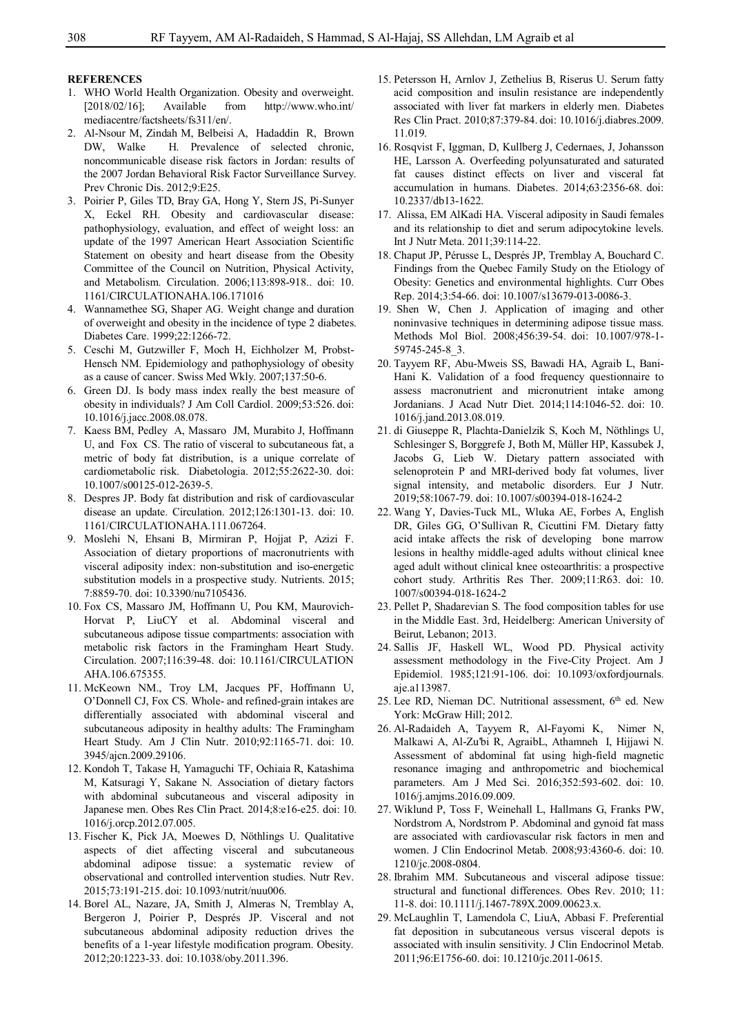## **REFERENCES**

- 1. WHO World Health Organization. Obesity and overweight. [2018/02/16]; Available from http://www.who.int/ mediacentre/factsheets/fs311/en/.
- 2. Al-Nsour M, Zindah M, Belbeisi A, Hadaddin R, Brown DW, Walke H. Prevalence of selected chronic, noncommunicable disease risk factors in Jordan: results of the 2007 Jordan Behavioral Risk Factor Surveillance Survey. Prev Chronic Dis. 2012;9:E25.
- 3. Poirier P, Giles TD, Bray GA, Hong Y, Stern JS, Pi-Sunyer X, Eckel RH. Obesity and cardiovascular disease: pathophysiology, evaluation, and effect of weight loss: an update of the 1997 American Heart Association Scientific Statement on obesity and heart disease from the Obesity Committee of the Council on Nutrition, Physical Activity, and Metabolism. Circulation. 2006;113:898-918.. doi: 10. 1161/CIRCULATIONAHA.106.171016
- 4. Wannamethee SG, Shaper AG. Weight change and duration of overweight and obesity in the incidence of type 2 diabetes. Diabetes Care. 1999;22:1266-72.
- 5. Ceschi M, Gutzwiller F, Moch H, Eichholzer M, Probst-Hensch NM. Epidemiology and pathophysiology of obesity as a cause of cancer. Swiss Med Wkly. 2007;137:50-6.
- 6. Green DJ. Is body mass index really the best measure of obesity in individuals? J Am Coll Cardiol. 2009;53:526. doi: 10.1016/j.jacc.2008.08.078.
- 7. Kaess BM, Pedley A, Massaro JM, Murabito J, Hoffmann U, and Fox CS. The ratio of visceral to subcutaneous fat, a metric of body fat distribution, is a unique correlate of cardiometabolic risk. Diabetologia. 2012;55:2622-30. doi: 10.1007/s00125-012-2639-5.
- 8. Despres JP. Body fat distribution and risk of cardiovascular disease an update. Circulation. 2012;126:1301-13. doi: 10. 1161/CIRCULATIONAHA.111.067264.
- 9. Moslehi N, Ehsani B, Mirmiran P, Hojjat P, Azizi F. Association of dietary proportions of macronutrients with visceral adiposity index: non-substitution and iso-energetic substitution models in a prospective study. Nutrients. 2015; 7:8859-70. doi: 10.3390/nu7105436.
- 10. Fox CS, Massaro JM, Hoffmann U, Pou KM, Maurovich-Horvat P, LiuCY et al. Abdominal visceral and subcutaneous adipose tissue compartments: association with metabolic risk factors in the Framingham Heart Study. Circulation. 2007;116:39-48. doi: 10.1161/CIRCULATION AHA.106.675355.
- 11. McKeown NM., Troy LM, Jacques PF, Hoffmann U, O'Donnell CJ, Fox CS. Whole- and refined-grain intakes are differentially associated with abdominal visceral and subcutaneous adiposity in healthy adults: The Framingham Heart Study. Am J Clin Nutr. 2010;92:1165-71. doi: 10. 3945/ajcn.2009.29106.
- 12. Kondoh T, Takase H, Yamaguchi TF, Ochiaia R, Katashima M, Katsuragi Y, Sakane N. Association of dietary factors with abdominal subcutaneous and visceral adiposity in Japanese men. Obes Res Clin Pract. 2014;8:e16-e25. doi: 10. 1016/j.orcp.2012.07.005.
- 13. Fischer K, Pick JA, Moewes D, Nöthlings U. Qualitative aspects of diet affecting visceral and subcutaneous abdominal adipose tissue: a systematic review of observational and controlled intervention studies. Nutr Rev. 2015;73:191-215. doi: 10.1093/nutrit/nuu006.
- 14. Borel AL, Nazare, JA, Smith J, Almeras N, Tremblay A, Bergeron J, Poirier P, Després JP. Visceral and not subcutaneous abdominal adiposity reduction drives the benefits of a 1-year lifestyle modification program. Obesity. 2012;20:1223-33. doi: 10.1038/oby.2011.396.
- 15. Petersson H, Arnlov J, Zethelius B, Riserus U. Serum fatty acid composition and insulin resistance are independently associated with liver fat markers in elderly men. Diabetes Res Clin Pract. 2010;87:379-84. doi: 10.1016/j.diabres.2009. 11.019.
- 16. Rosqvist F, Iggman, D, Kullberg J, Cedernaes, J, Johansson HE, Larsson A. Overfeeding polyunsaturated and saturated fat causes distinct effects on liver and visceral fat accumulation in humans. Diabetes. 2014;63:2356-68. doi: 10.2337/db13-1622.
- 17. Alissa, EM AlKadi HA. Visceral adiposity in Saudi females and its relationship to diet and serum adipocytokine levels. Int J Nutr Meta. 2011;39:114-22.
- 18. Chaput JP, Pérusse L, Després JP, Tremblay A, Bouchard C. Findings from the Quebec Family Study on the Etiology of Obesity: Genetics and environmental highlights. Curr Obes Rep. 2014;3:54-66. doi: 10.1007/s13679-013-0086-3.
- 19. Shen W, Chen J. Application of imaging and other noninvasive techniques in determining adipose tissue mass. Methods Mol Biol. 2008;456:39-54. doi: 10.1007/978-1- 59745-245-8\_3.
- 20. Tayyem RF, Abu-Mweis SS, Bawadi HA, Agraib L, Bani-Hani K. Validation of a food frequency questionnaire to assess macronutrient and micronutrient intake among Jordanians. J Acad Nutr Diet. 2014;114:1046-52. doi: 10. 1016/j.jand.2013.08.019.
- 21. di Giuseppe R, Plachta-Danielzik S, Koch M, Nöthlings U, Schlesinger S, Borggrefe J, Both M, Müller HP, Kassubek J, Jacobs G, Lieb W. Dietary pattern associated with selenoprotein P and MRI-derived body fat volumes, liver signal intensity, and metabolic disorders. Eur J Nutr. 2019;58:1067-79. doi: 10.1007/s00394-018-1624-2
- 22. Wang Y, Davies-Tuck ML, Wluka AE, Forbes A, English DR, Giles GG, O'Sullivan R, Cicuttini FM. Dietary fatty acid intake affects the risk of developing bone marrow lesions in healthy middle-aged adults without clinical knee aged adult without clinical knee osteoarthritis: a prospective cohort study. Arthritis Res Ther. 2009;11:R63. doi: 10. 1007/s00394-018-1624-2
- 23. Pellet P, Shadarevian S. The food composition tables for use in the Middle East. 3rd, Heidelberg: American University of Beirut, Lebanon; 2013.
- 24. Sallis JF, Haskell WL, Wood PD. Physical activity assessment methodology in the Five-City Project. Am J Epidemiol. 1985;121:91-106. doi: 10.1093/oxfordjournals. aje.a113987.
- 25. Lee RD, Nieman DC. Nutritional assessment, 6<sup>th</sup> ed. New York: McGraw Hill; 2012.
- 26. Al-Radaideh A, Tayyem R, Al-Fayomi K, Nimer N, Malkawi A, Al-Zu'bi R, AgraibL, Athamneh I, Hijjawi N. Assessment of abdominal fat using high-field magnetic resonance imaging and anthropometric and biochemical parameters. Am J Med Sci. 2016;352:593-602. doi: 10. 1016/j.amjms.2016.09.009.
- 27. Wiklund P, Toss F, Weinehall L, Hallmans G, Franks PW, Nordstrom A, Nordstrom P. Abdominal and gynoid fat mass are associated with cardiovascular risk factors in men and women. J Clin Endocrinol Metab. 2008;93:4360-6. doi: 10. 1210/jc.2008-0804.
- 28. Ibrahim MM. Subcutaneous and visceral adipose tissue: structural and functional differences. Obes Rev. 2010; 11: 11-8. doi: 10.1111/j.1467-789X.2009.00623.x.
- 29. McLaughlin T, Lamendola C, LiuA, Abbasi F. Preferential fat deposition in subcutaneous versus visceral depots is associated with insulin sensitivity. J Clin Endocrinol Metab. 2011;96:E1756-60. doi: 10.1210/jc.2011-0615.